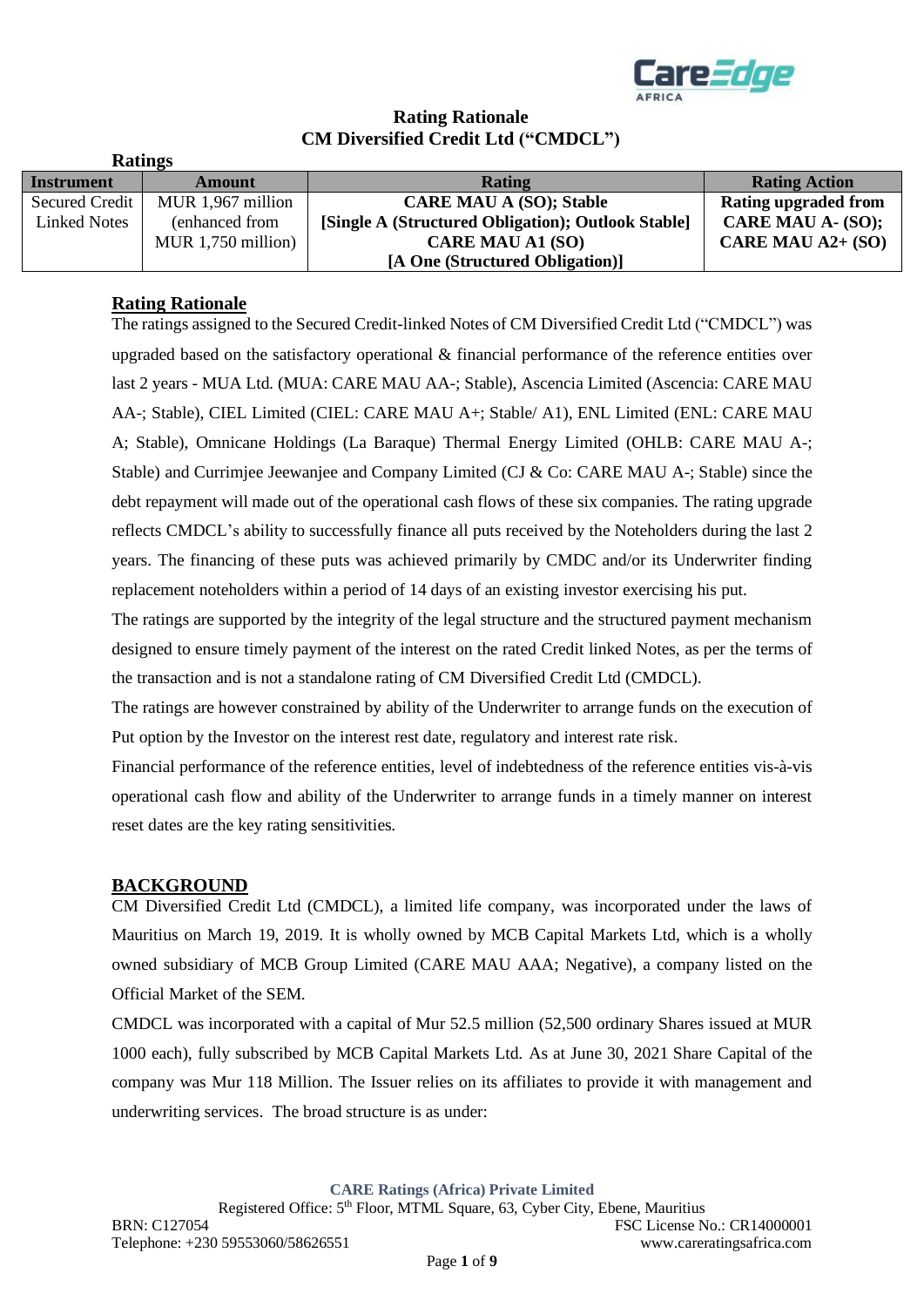

# **Rating Rationale CM Diversified Credit Ltd ("CMDCL")**

| Raumes |                     |                      |                                                    |                             |
|--------|---------------------|----------------------|----------------------------------------------------|-----------------------------|
|        | Instrument          | <b>Amount</b>        | <b>Rating</b>                                      | <b>Rating Action</b>        |
|        | Secured Credit      | MUR 1,967 million    | <b>CARE MAU A (SO); Stable</b>                     | <b>Rating upgraded from</b> |
|        | <b>Linked Notes</b> | (enhanced from       | [Single A (Structured Obligation); Outlook Stable] | CARE MAU A- (SO);           |
|        |                     | MUR $1,750$ million) | <b>CARE MAU A1 (SO)</b>                            | CARE MAU $A2+$ (SO)         |
|        |                     |                      | [A One (Structured Obligation)]                    |                             |

# **Rating Rationale**

**Ratings**

The ratings assigned to the Secured Credit-linked Notes of CM Diversified Credit Ltd ("CMDCL") was upgraded based on the satisfactory operational & financial performance of the reference entities over last 2 years - MUA Ltd. (MUA: CARE MAU AA-; Stable), Ascencia Limited (Ascencia: CARE MAU AA-; Stable), CIEL Limited (CIEL: CARE MAU A+; Stable/ A1), ENL Limited (ENL: CARE MAU A; Stable), Omnicane Holdings (La Baraque) Thermal Energy Limited (OHLB: CARE MAU A-; Stable) and Currimjee Jeewanjee and Company Limited (CJ & Co: CARE MAU A-; Stable) since the debt repayment will made out of the operational cash flows of these six companies. The rating upgrade reflects CMDCL's ability to successfully finance all puts received by the Noteholders during the last 2 years. The financing of these puts was achieved primarily by CMDC and/or its Underwriter finding replacement noteholders within a period of 14 days of an existing investor exercising his put.

The ratings are supported by the integrity of the legal structure and the structured payment mechanism designed to ensure timely payment of the interest on the rated Credit linked Notes, as per the terms of the transaction and is not a standalone rating of CM Diversified Credit Ltd (CMDCL).

The ratings are however constrained by ability of the Underwriter to arrange funds on the execution of Put option by the Investor on the interest rest date, regulatory and interest rate risk.

Financial performance of the reference entities, level of indebtedness of the reference entities vis-à-vis operational cash flow and ability of the Underwriter to arrange funds in a timely manner on interest reset dates are the key rating sensitivities.

### **BACKGROUND**

CM Diversified Credit Ltd (CMDCL), a limited life company, was incorporated under the laws of Mauritius on March 19, 2019. It is wholly owned by MCB Capital Markets Ltd, which is a wholly owned subsidiary of MCB Group Limited (CARE MAU AAA; Negative), a company listed on the Official Market of the SEM.

CMDCL was incorporated with a capital of Mur 52.5 million (52,500 ordinary Shares issued at MUR 1000 each), fully subscribed by MCB Capital Markets Ltd. As at June 30, 2021 Share Capital of the company was Mur 118 Million. The Issuer relies on its affiliates to provide it with management and underwriting services. The broad structure is as under:

**CARE Ratings (Africa) Private Limited**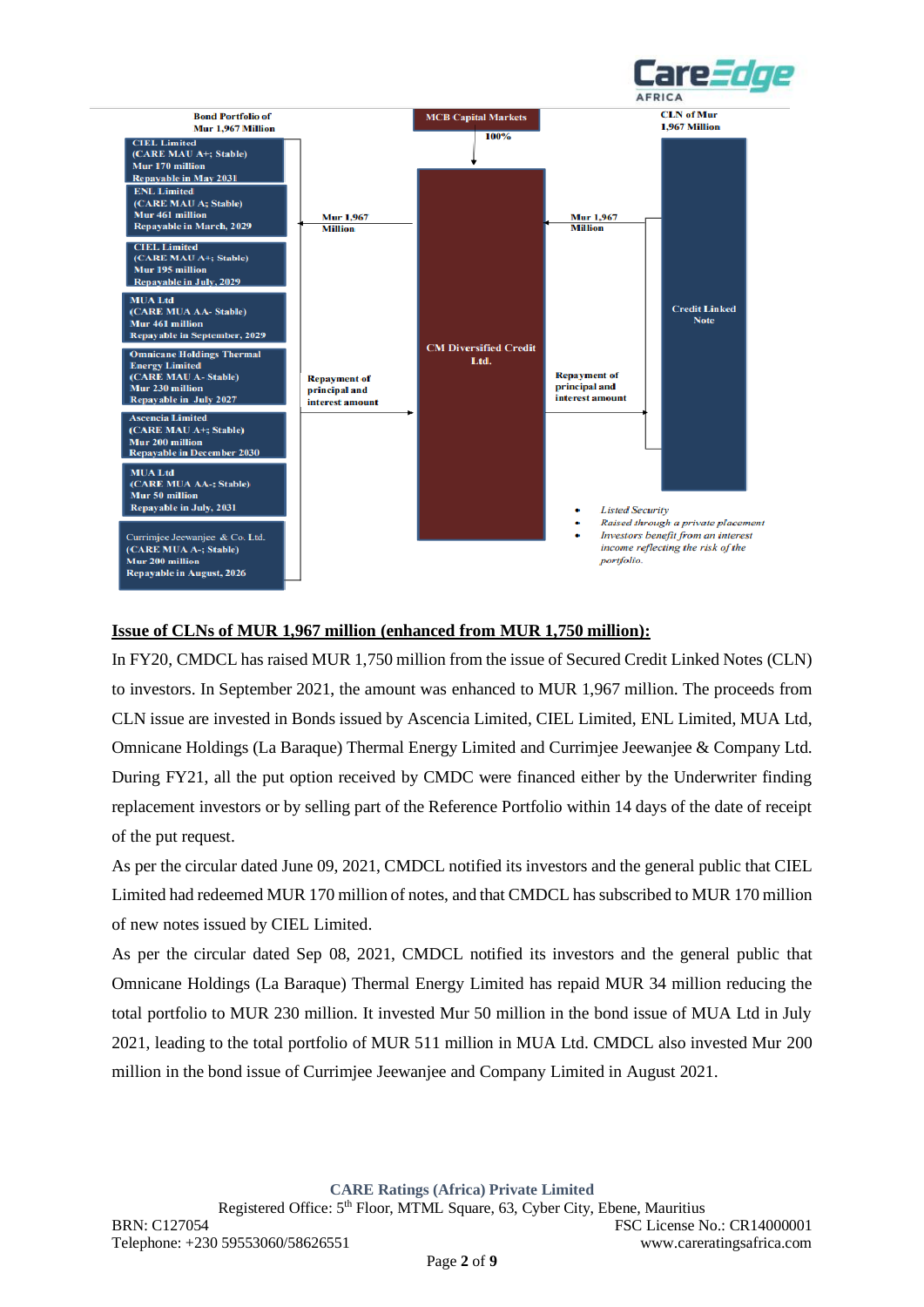



### **Issue of CLNs of MUR 1,967 million (enhanced from MUR 1,750 million):**

In FY20, CMDCL has raised MUR 1,750 million from the issue of Secured Credit Linked Notes (CLN) to investors. In September 2021, the amount was enhanced to MUR 1,967 million. The proceeds from CLN issue are invested in Bonds issued by Ascencia Limited, CIEL Limited, ENL Limited, MUA Ltd, Omnicane Holdings (La Baraque) Thermal Energy Limited and Currimjee Jeewanjee & Company Ltd. During FY21, all the put option received by CMDC were financed either by the Underwriter finding replacement investors or by selling part of the Reference Portfolio within 14 days of the date of receipt of the put request.

As per the circular dated June 09, 2021, CMDCL notified its investors and the general public that CIEL Limited had redeemed MUR 170 million of notes, and that CMDCL has subscribed to MUR 170 million of new notes issued by CIEL Limited.

As per the circular dated Sep 08, 2021, CMDCL notified its investors and the general public that Omnicane Holdings (La Baraque) Thermal Energy Limited has repaid MUR 34 million reducing the total portfolio to MUR 230 million. It invested Mur 50 million in the bond issue of MUA Ltd in July 2021, leading to the total portfolio of MUR 511 million in MUA Ltd. CMDCL also invested Mur 200 million in the bond issue of Currimjee Jeewanjee and Company Limited in August 2021.

**CARE Ratings (Africa) Private Limited**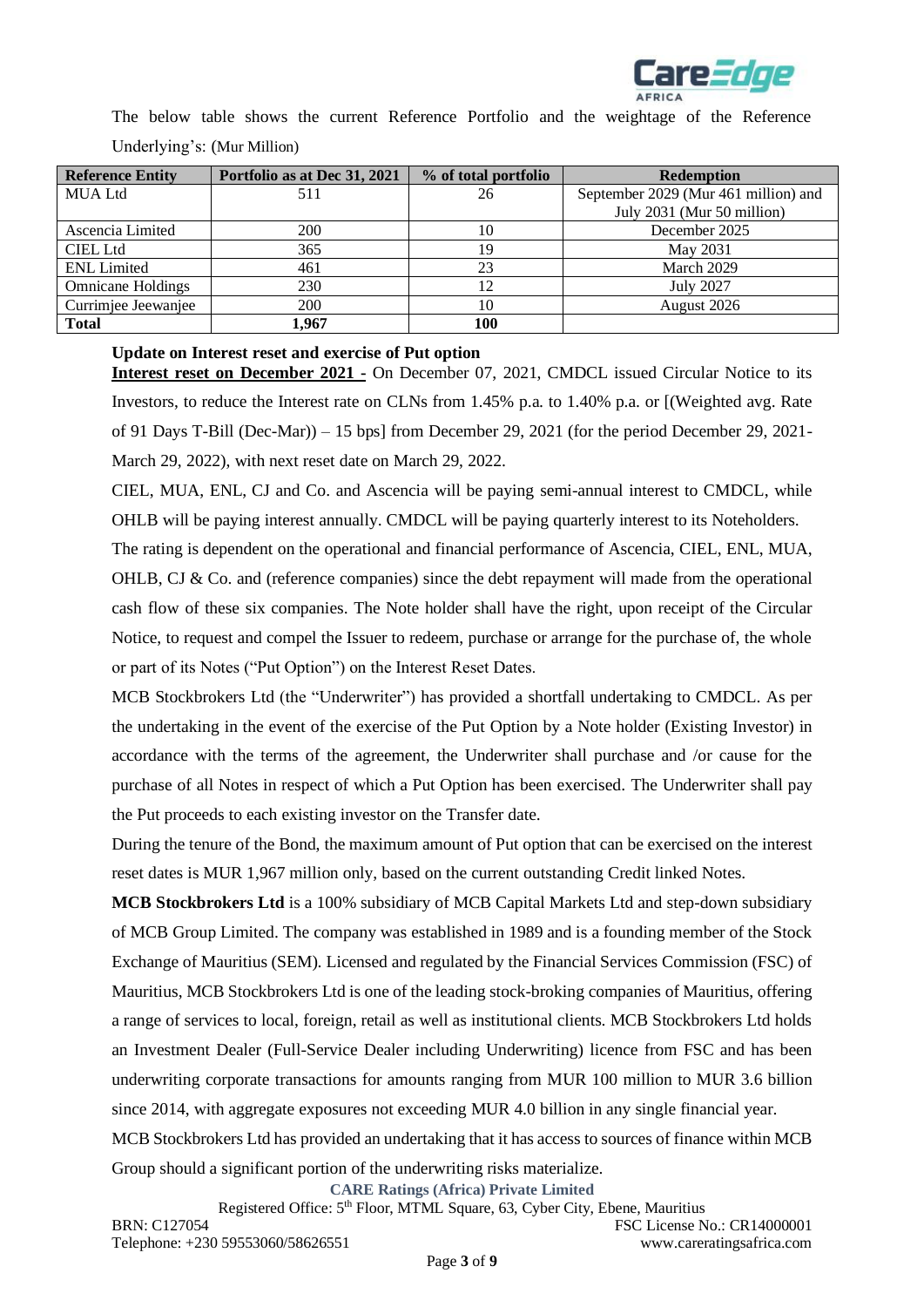

The below table shows the current Reference Portfolio and the weightage of the Reference Underlying's: (Mur Million)

| <b>Reference Entity</b>  | Portfolio as at Dec 31, 2021 | % of total portfolio | <b>Redemption</b>                    |
|--------------------------|------------------------------|----------------------|--------------------------------------|
| <b>MUA Ltd</b>           | 511                          | 26                   | September 2029 (Mur 461 million) and |
|                          |                              |                      | July 2031 (Mur 50 million)           |
| Ascencia Limited         | 200                          | 10                   | December 2025                        |
| <b>CIEL Ltd</b>          | 365                          | 19                   | May 2031                             |
| <b>ENL</b> Limited       | 461                          | 23                   | March 2029                           |
| <b>Omnicane Holdings</b> | 230                          | 12                   | <b>July 2027</b>                     |
| Currimjee Jeewanjee      | 200                          | 10                   | August 2026                          |
| <b>Total</b>             | 1.967                        | 100                  |                                      |

### **Update on Interest reset and exercise of Put option**

**Interest reset on December 2021 -** On December 07, 2021, CMDCL issued Circular Notice to its Investors, to reduce the Interest rate on CLNs from 1.45% p.a. to 1.40% p.a. or [(Weighted avg. Rate of 91 Days T-Bill (Dec-Mar)) – 15 bps] from December 29, 2021 (for the period December 29, 2021- March 29, 2022), with next reset date on March 29, 2022.

CIEL, MUA, ENL, CJ and Co. and Ascencia will be paying semi-annual interest to CMDCL, while OHLB will be paying interest annually. CMDCL will be paying quarterly interest to its Noteholders.

The rating is dependent on the operational and financial performance of Ascencia, CIEL, ENL, MUA, OHLB, CJ & Co. and (reference companies) since the debt repayment will made from the operational cash flow of these six companies. The Note holder shall have the right, upon receipt of the Circular Notice, to request and compel the Issuer to redeem, purchase or arrange for the purchase of, the whole or part of its Notes ("Put Option") on the Interest Reset Dates.

MCB Stockbrokers Ltd (the "Underwriter") has provided a shortfall undertaking to CMDCL. As per the undertaking in the event of the exercise of the Put Option by a Note holder (Existing Investor) in accordance with the terms of the agreement, the Underwriter shall purchase and /or cause for the purchase of all Notes in respect of which a Put Option has been exercised. The Underwriter shall pay the Put proceeds to each existing investor on the Transfer date.

During the tenure of the Bond, the maximum amount of Put option that can be exercised on the interest reset dates is MUR 1,967 million only, based on the current outstanding Credit linked Notes.

**MCB Stockbrokers Ltd** is a 100% subsidiary of MCB Capital Markets Ltd and step-down subsidiary of MCB Group Limited. The company was established in 1989 and is a founding member of the Stock Exchange of Mauritius (SEM). Licensed and regulated by the Financial Services Commission (FSC) of Mauritius, MCB Stockbrokers Ltd is one of the leading stock-broking companies of Mauritius, offering a range of services to local, foreign, retail as well as institutional clients. MCB Stockbrokers Ltd holds an Investment Dealer (Full-Service Dealer including Underwriting) licence from FSC and has been underwriting corporate transactions for amounts ranging from MUR 100 million to MUR 3.6 billion since 2014, with aggregate exposures not exceeding MUR 4.0 billion in any single financial year. MCB Stockbrokers Ltd has provided an undertaking that it has access to sources of finance within MCB Group should a significant portion of the underwriting risks materialize.

**CARE Ratings (Africa) Private Limited**

Registered Office: 5th Floor, MTML Square, 63, Cyber City, Ebene, Mauritius BRN: C127054 FSC License No.: CR14000001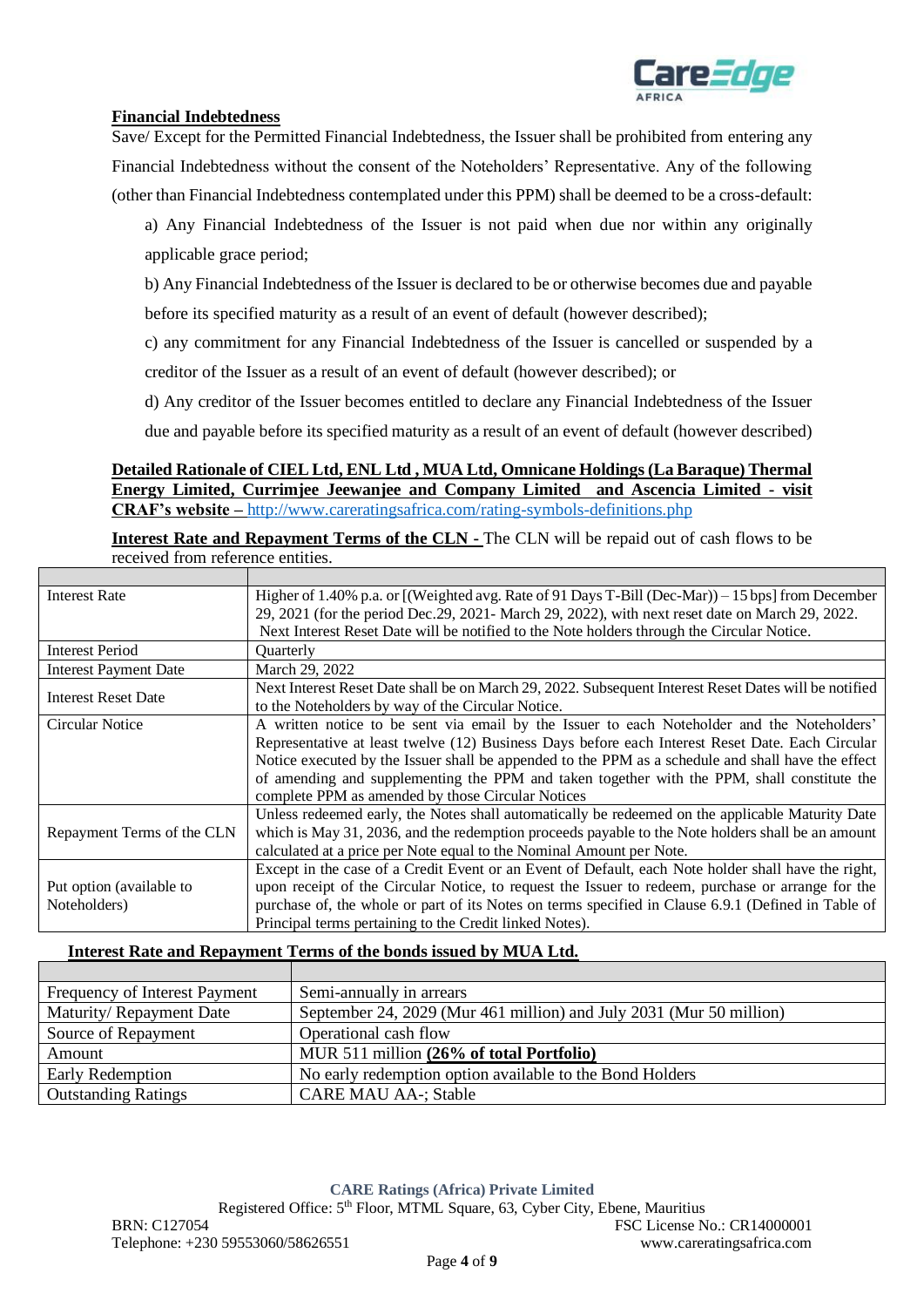

### **Financial Indebtedness**

Save/ Except for the Permitted Financial Indebtedness, the Issuer shall be prohibited from entering any Financial Indebtedness without the consent of the Noteholders' Representative. Any of the following (other than Financial Indebtedness contemplated under this PPM) shall be deemed to be a cross-default:

a) Any Financial Indebtedness of the Issuer is not paid when due nor within any originally applicable grace period;

b) Any Financial Indebtedness of the Issuer is declared to be or otherwise becomes due and payable before its specified maturity as a result of an event of default (however described);

c) any commitment for any Financial Indebtedness of the Issuer is cancelled or suspended by a

creditor of the Issuer as a result of an event of default (however described); or

d) Any creditor of the Issuer becomes entitled to declare any Financial Indebtedness of the Issuer

due and payable before its specified maturity as a result of an event of default (however described)

### **Detailed Rationale of CIEL Ltd, ENL Ltd , MUA Ltd, Omnicane Holdings (La Baraque) Thermal Energy Limited, Currimjee Jeewanjee and Company Limited and Ascencia Limited - visit CRAF's website –** <http://www.careratingsafrica.com/rating-symbols-definitions.php>

**Interest Rate and Repayment Terms of the CLN -** The CLN will be repaid out of cash flows to be received from reference entities.

| <b>Interest Rate</b>         | Higher of 1.40% p.a. or [(Weighted avg. Rate of 91 Days T-Bill (Dec-Mar)) – 15 bps] from December     |
|------------------------------|-------------------------------------------------------------------------------------------------------|
|                              | 29, 2021 (for the period Dec.29, 2021- March 29, 2022), with next reset date on March 29, 2022.       |
|                              | Next Interest Reset Date will be notified to the Note holders through the Circular Notice.            |
| <b>Interest Period</b>       | <b>Ouarterly</b>                                                                                      |
| <b>Interest Payment Date</b> | March 29, 2022                                                                                        |
| <b>Interest Reset Date</b>   | Next Interest Reset Date shall be on March 29, 2022. Subsequent Interest Reset Dates will be notified |
|                              | to the Noteholders by way of the Circular Notice.                                                     |
| Circular Notice              | A written notice to be sent via email by the Issuer to each Noteholder and the Noteholders'           |
|                              | Representative at least twelve (12) Business Days before each Interest Reset Date. Each Circular      |
|                              | Notice executed by the Issuer shall be appended to the PPM as a schedule and shall have the effect    |
|                              | of amending and supplementing the PPM and taken together with the PPM, shall constitute the           |
|                              | complete PPM as amended by those Circular Notices                                                     |
|                              | Unless redeemed early, the Notes shall automatically be redeemed on the applicable Maturity Date      |
| Repayment Terms of the CLN   | which is May 31, 2036, and the redemption proceeds payable to the Note holders shall be an amount     |
|                              | calculated at a price per Note equal to the Nominal Amount per Note.                                  |
|                              | Except in the case of a Credit Event or an Event of Default, each Note holder shall have the right,   |
| Put option (available to     | upon receipt of the Circular Notice, to request the Issuer to redeem, purchase or arrange for the     |
| Noteholders)                 | purchase of, the whole or part of its Notes on terms specified in Clause 6.9.1 (Defined in Table of   |
|                              | Principal terms pertaining to the Credit linked Notes).                                               |

### **Interest Rate and Repayment Terms of the bonds issued by MUA Ltd.**

| Frequency of Interest Payment | Semi-annually in arrears                                            |
|-------------------------------|---------------------------------------------------------------------|
| Maturity/Repayment Date       | September 24, 2029 (Mur 461 million) and July 2031 (Mur 50 million) |
| Source of Repayment           | Operational cash flow                                               |
| Amount                        | MUR 511 million (26% of total Portfolio)                            |
| <b>Early Redemption</b>       | No early redemption option available to the Bond Holders            |
| <b>Outstanding Ratings</b>    | <b>CARE MAU AA-; Stable</b>                                         |

Registered Office: 5th Floor, MTML Square, 63, Cyber City, Ebene, Mauritius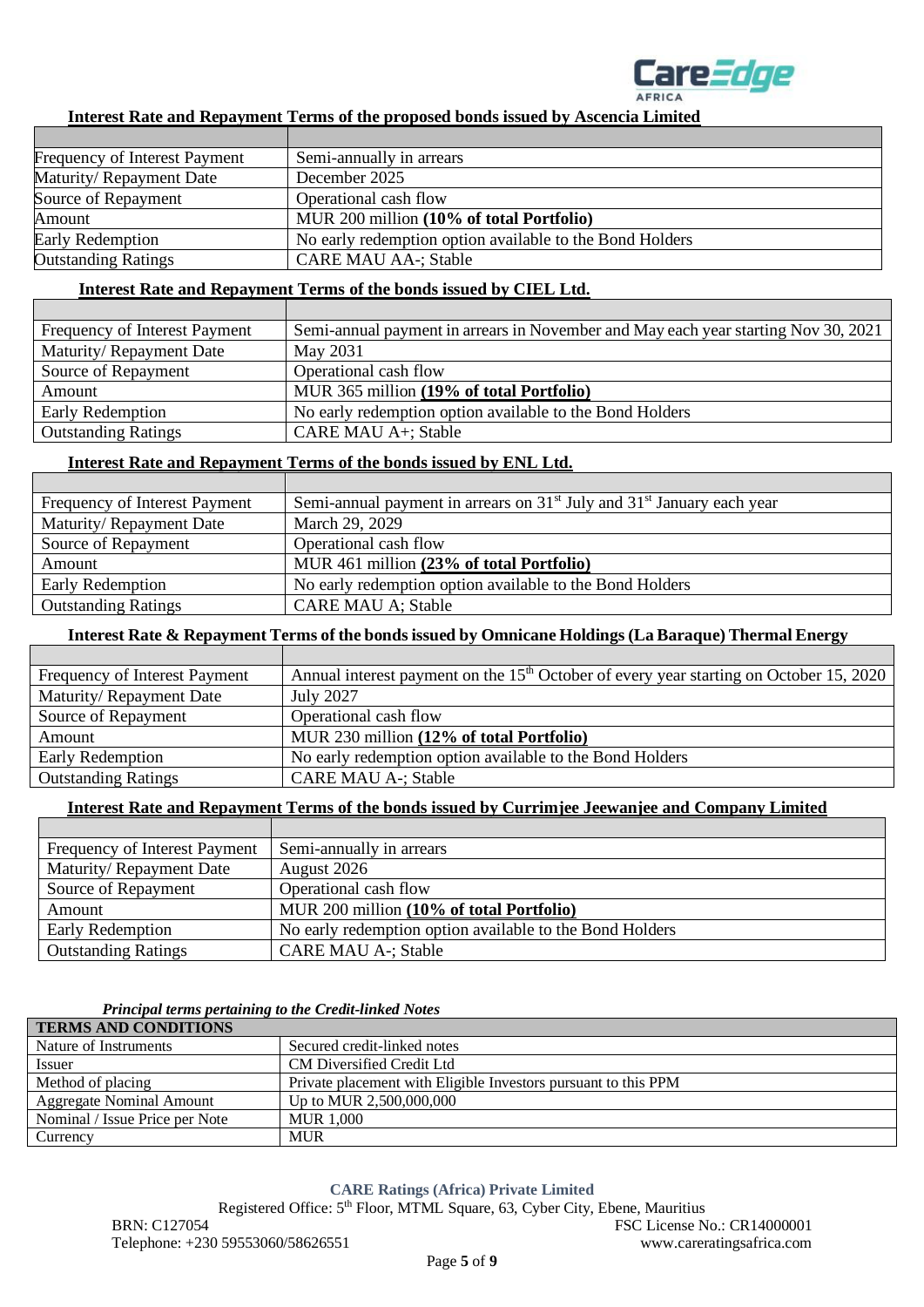

### **Interest Rate and Repayment Terms of the proposed bonds issued by Ascencia Limited**

| <b>Frequency of Interest Payment</b> | Semi-annually in arrears                                 |
|--------------------------------------|----------------------------------------------------------|
| Maturity/Repayment Date              | December 2025                                            |
| Source of Repayment                  | Operational cash flow                                    |
| Amount                               | MUR 200 million (10% of total Portfolio)                 |
| <b>Early Redemption</b>              | No early redemption option available to the Bond Holders |
| <b>Outstanding Ratings</b>           | <b>CARE MAU AA-; Stable</b>                              |

#### **Interest Rate and Repayment Terms of the bonds issued by CIEL Ltd.**

| Frequency of Interest Payment | Semi-annual payment in arrears in November and May each year starting Nov 30, 2021 |
|-------------------------------|------------------------------------------------------------------------------------|
| Maturity/Repayment Date       | May 2031                                                                           |
| Source of Repayment           | Operational cash flow                                                              |
| Amount                        | MUR 365 million (19% of total Portfolio)                                           |
| Early Redemption              | No early redemption option available to the Bond Holders                           |
| <b>Outstanding Ratings</b>    | CARE MAU A+; Stable                                                                |

#### **Interest Rate and Repayment Terms of the bonds issued by ENL Ltd.**

| Frequency of Interest Payment | Semi-annual payment in arrears on $31st$ July and $31st$ January each year |
|-------------------------------|----------------------------------------------------------------------------|
| Maturity/Repayment Date       | March 29, 2029                                                             |
| Source of Repayment           | Operational cash flow                                                      |
| Amount                        | MUR 461 million (23% of total Portfolio)                                   |
| <b>Early Redemption</b>       | No early redemption option available to the Bond Holders                   |
| <b>Outstanding Ratings</b>    | <b>CARE MAU A; Stable</b>                                                  |

#### **Interest Rate & Repayment Terms of the bonds issued by Omnicane Holdings (La Baraque) Thermal Energy**

| Annual interest payment on the 15 <sup>th</sup> October of every year starting on October 15, 2020<br>Frequency of Interest Payment |
|-------------------------------------------------------------------------------------------------------------------------------------|
| Maturity/Repayment Date<br><b>July 2027</b>                                                                                         |
| Operational cash flow<br>Source of Repayment                                                                                        |
| MUR 230 million (12% of total Portfolio)<br>Amount                                                                                  |
| No early redemption option available to the Bond Holders<br>Early Redemption                                                        |
| <b>CARE MAU A-; Stable</b><br><b>Outstanding Ratings</b>                                                                            |

### **Interest Rate and Repayment Terms of the bonds issued by Currimjee Jeewanjee and Company Limited**

| Frequency of Interest Payment | Semi-annually in arrears                                 |
|-------------------------------|----------------------------------------------------------|
| Maturity/Repayment Date       | August 2026                                              |
| Source of Repayment           | Operational cash flow                                    |
| Amount                        | MUR 200 million (10% of total Portfolio)                 |
| <b>Early Redemption</b>       | No early redemption option available to the Bond Holders |
| <b>Outstanding Ratings</b>    | <b>CARE MAU A-: Stable</b>                               |

### *Principal terms pertaining to the Credit-linked Notes*

| <b>TERMS AND CONDITIONS</b>     |                                                                |  |
|---------------------------------|----------------------------------------------------------------|--|
| Nature of Instruments           | Secured credit-linked notes                                    |  |
| Issuer                          | CM Diversified Credit Ltd                                      |  |
| Method of placing               | Private placement with Eligible Investors pursuant to this PPM |  |
| <b>Aggregate Nominal Amount</b> | Up to MUR 2,500,000,000                                        |  |
| Nominal / Issue Price per Note  | MUR 1.000                                                      |  |
| Currency                        | <b>MUR</b>                                                     |  |

#### **CARE Ratings (Africa) Private Limited**

Registered Office: 5<sup>th</sup> Floor, MTML Square, 63, Cyber City, Ebene, Mauritius BRN: C127054 FSC License No.: CR14000001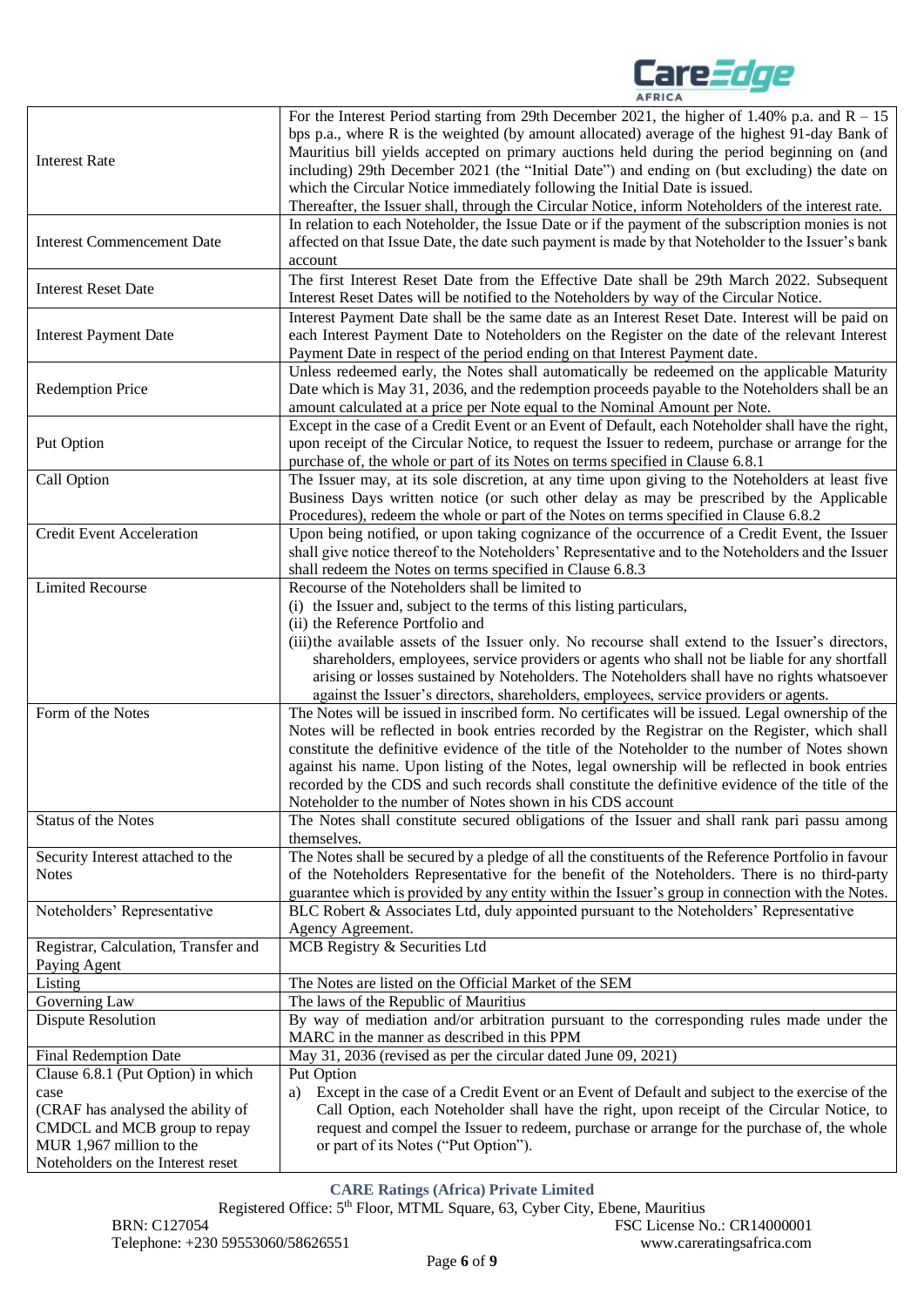

| <b>Interest Rate</b>                                     | For the Interest Period starting from 29th December 2021, the higher of 1.40% p.a. and $R - 15$<br>bps p.a., where R is the weighted (by amount allocated) average of the highest 91-day Bank of<br>Mauritius bill yields accepted on primary auctions held during the period beginning on (and<br>including) 29th December 2021 (the "Initial Date") and ending on (but excluding) the date on<br>which the Circular Notice immediately following the Initial Date is issued.<br>Thereafter, the Issuer shall, through the Circular Notice, inform Noteholders of the interest rate. |
|----------------------------------------------------------|---------------------------------------------------------------------------------------------------------------------------------------------------------------------------------------------------------------------------------------------------------------------------------------------------------------------------------------------------------------------------------------------------------------------------------------------------------------------------------------------------------------------------------------------------------------------------------------|
| <b>Interest Commencement Date</b>                        | In relation to each Noteholder, the Issue Date or if the payment of the subscription monies is not<br>affected on that Issue Date, the date such payment is made by that Noteholder to the Issuer's bank<br>account                                                                                                                                                                                                                                                                                                                                                                   |
| <b>Interest Reset Date</b>                               | The first Interest Reset Date from the Effective Date shall be 29th March 2022. Subsequent<br>Interest Reset Dates will be notified to the Noteholders by way of the Circular Notice.                                                                                                                                                                                                                                                                                                                                                                                                 |
| <b>Interest Payment Date</b>                             | Interest Payment Date shall be the same date as an Interest Reset Date. Interest will be paid on<br>each Interest Payment Date to Noteholders on the Register on the date of the relevant Interest<br>Payment Date in respect of the period ending on that Interest Payment date.                                                                                                                                                                                                                                                                                                     |
| <b>Redemption Price</b>                                  | Unless redeemed early, the Notes shall automatically be redeemed on the applicable Maturity<br>Date which is May 31, 2036, and the redemption proceeds payable to the Noteholders shall be an<br>amount calculated at a price per Note equal to the Nominal Amount per Note.                                                                                                                                                                                                                                                                                                          |
| Put Option                                               | Except in the case of a Credit Event or an Event of Default, each Noteholder shall have the right,<br>upon receipt of the Circular Notice, to request the Issuer to redeem, purchase or arrange for the<br>purchase of, the whole or part of its Notes on terms specified in Clause 6.8.1                                                                                                                                                                                                                                                                                             |
| Call Option                                              | The Issuer may, at its sole discretion, at any time upon giving to the Noteholders at least five<br>Business Days written notice (or such other delay as may be prescribed by the Applicable<br>Procedures), redeem the whole or part of the Notes on terms specified in Clause 6.8.2                                                                                                                                                                                                                                                                                                 |
| <b>Credit Event Acceleration</b>                         | Upon being notified, or upon taking cognizance of the occurrence of a Credit Event, the Issuer<br>shall give notice thereof to the Noteholders' Representative and to the Noteholders and the Issuer<br>shall redeem the Notes on terms specified in Clause 6.8.3                                                                                                                                                                                                                                                                                                                     |
| <b>Limited Recourse</b>                                  | Recourse of the Noteholders shall be limited to<br>(i) the Issuer and, subject to the terms of this listing particulars,<br>(ii) the Reference Portfolio and<br>(iii) the available assets of the Issuer only. No recourse shall extend to the Issuer's directors,<br>shareholders, employees, service providers or agents who shall not be liable for any shortfall<br>arising or losses sustained by Noteholders. The Noteholders shall have no rights whatsoever<br>against the Issuer's directors, shareholders, employees, service providers or agents.                          |
| Form of the Notes                                        | The Notes will be issued in inscribed form. No certificates will be issued. Legal ownership of the<br>Notes will be reflected in book entries recorded by the Registrar on the Register, which shall<br>constitute the definitive evidence of the title of the Noteholder to the number of Notes shown<br>against his name. Upon listing of the Notes, legal ownership will be reflected in book entries<br>recorded by the CDS and such records shall constitute the definitive evidence of the title of the<br>Noteholder to the number of Notes shown in his CDS account           |
| Status of the Notes                                      | The Notes shall constitute secured obligations of the Issuer and shall rank pari passu among<br>themselves.                                                                                                                                                                                                                                                                                                                                                                                                                                                                           |
| Security Interest attached to the<br><b>Notes</b>        | The Notes shall be secured by a pledge of all the constituents of the Reference Portfolio in favour<br>of the Noteholders Representative for the benefit of the Noteholders. There is no third-party<br>guarantee which is provided by any entity within the Issuer's group in connection with the Notes.                                                                                                                                                                                                                                                                             |
| Noteholders' Representative                              | BLC Robert & Associates Ltd, duly appointed pursuant to the Noteholders' Representative<br>Agency Agreement.                                                                                                                                                                                                                                                                                                                                                                                                                                                                          |
| Registrar, Calculation, Transfer and<br>Paying Agent     | MCB Registry & Securities Ltd                                                                                                                                                                                                                                                                                                                                                                                                                                                                                                                                                         |
| Listing                                                  | The Notes are listed on the Official Market of the SEM                                                                                                                                                                                                                                                                                                                                                                                                                                                                                                                                |
| Governing Law                                            | The laws of the Republic of Mauritius                                                                                                                                                                                                                                                                                                                                                                                                                                                                                                                                                 |
| <b>Dispute Resolution</b>                                | By way of mediation and/or arbitration pursuant to the corresponding rules made under the<br>MARC in the manner as described in this PPM                                                                                                                                                                                                                                                                                                                                                                                                                                              |
| <b>Final Redemption Date</b>                             | May 31, 2036 (revised as per the circular dated June 09, 2021)                                                                                                                                                                                                                                                                                                                                                                                                                                                                                                                        |
| Clause 6.8.1 (Put Option) in which                       | Put Option                                                                                                                                                                                                                                                                                                                                                                                                                                                                                                                                                                            |
| case                                                     | Except in the case of a Credit Event or an Event of Default and subject to the exercise of the<br>a)                                                                                                                                                                                                                                                                                                                                                                                                                                                                                  |
| (CRAF has analysed the ability of                        | Call Option, each Noteholder shall have the right, upon receipt of the Circular Notice, to                                                                                                                                                                                                                                                                                                                                                                                                                                                                                            |
| CMDCL and MCB group to repay<br>MUR 1,967 million to the | request and compel the Issuer to redeem, purchase or arrange for the purchase of, the whole<br>or part of its Notes ("Put Option").                                                                                                                                                                                                                                                                                                                                                                                                                                                   |
| Noteholders on the Interest reset                        |                                                                                                                                                                                                                                                                                                                                                                                                                                                                                                                                                                                       |

**CARE Ratings (Africa) Private Limited**

Registered Office: 5th Floor, MTML Square, 63, Cyber City, Ebene, Mauritius BRN: C127054 FSC License No.: CR14000001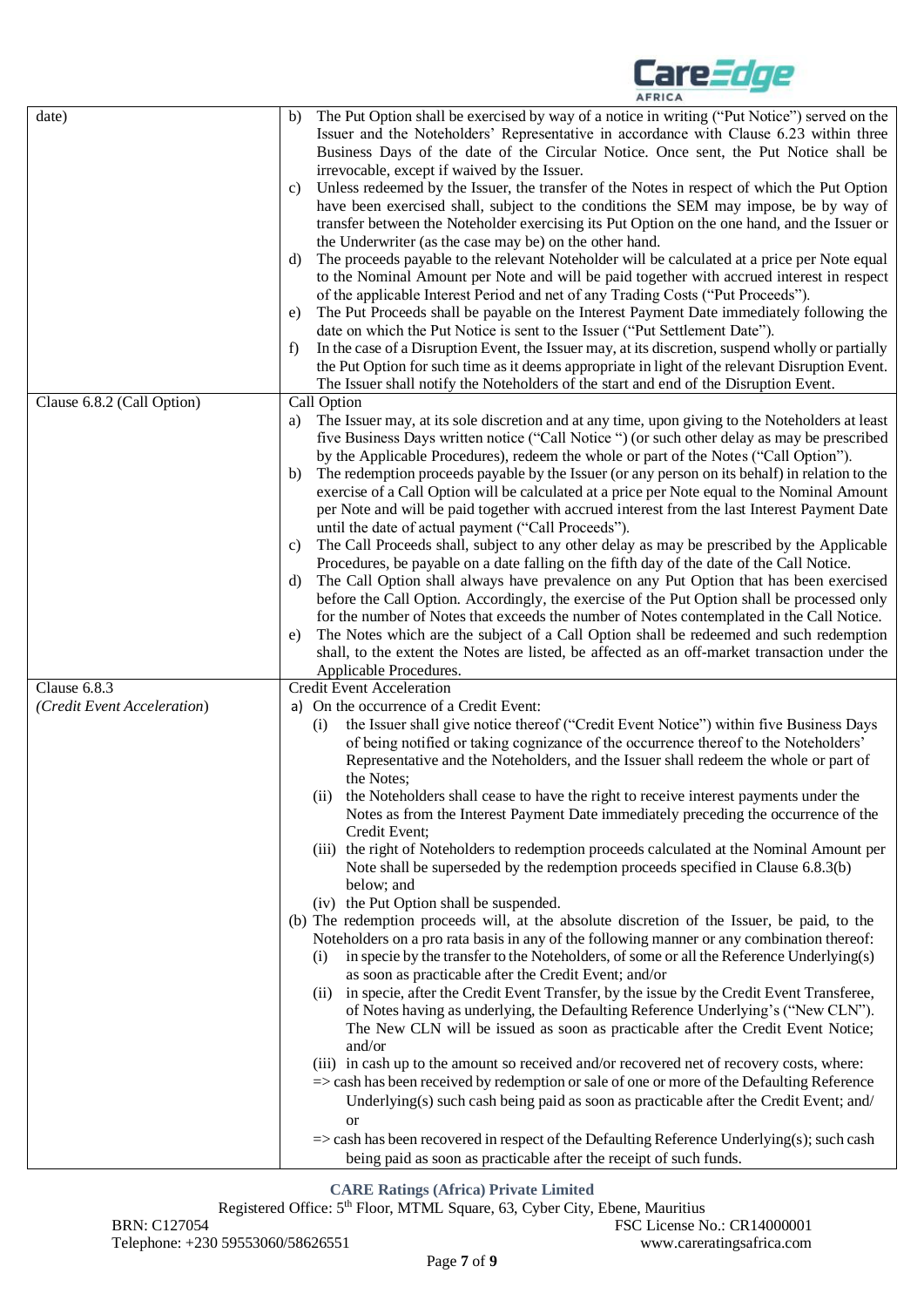|                                             | <b>AFRICA</b>                                                                                                                                                                                                                                                                                                                                                                                                                                                                                                                                                                                                                                                                                                                                                                                                                                                                                                                                                                                                                                                                                                                                                                                                                                                                                                                                                                                                                                                                                                                                                                                                                                                                                                                                                                                                                                                                                                                                                                                                                                                                                                                                                                                                                                                                                                                                                                                                                                                                                                                                                                                                                                                                                                                                                                                                                                                                       |
|---------------------------------------------|-------------------------------------------------------------------------------------------------------------------------------------------------------------------------------------------------------------------------------------------------------------------------------------------------------------------------------------------------------------------------------------------------------------------------------------------------------------------------------------------------------------------------------------------------------------------------------------------------------------------------------------------------------------------------------------------------------------------------------------------------------------------------------------------------------------------------------------------------------------------------------------------------------------------------------------------------------------------------------------------------------------------------------------------------------------------------------------------------------------------------------------------------------------------------------------------------------------------------------------------------------------------------------------------------------------------------------------------------------------------------------------------------------------------------------------------------------------------------------------------------------------------------------------------------------------------------------------------------------------------------------------------------------------------------------------------------------------------------------------------------------------------------------------------------------------------------------------------------------------------------------------------------------------------------------------------------------------------------------------------------------------------------------------------------------------------------------------------------------------------------------------------------------------------------------------------------------------------------------------------------------------------------------------------------------------------------------------------------------------------------------------------------------------------------------------------------------------------------------------------------------------------------------------------------------------------------------------------------------------------------------------------------------------------------------------------------------------------------------------------------------------------------------------------------------------------------------------------------------------------------------------|
| date)<br>Clause 6.8.2 (Call Option)         | The Put Option shall be exercised by way of a notice in writing ("Put Notice") served on the<br>b)<br>Issuer and the Noteholders' Representative in accordance with Clause 6.23 within three<br>Business Days of the date of the Circular Notice. Once sent, the Put Notice shall be<br>irrevocable, except if waived by the Issuer.<br>Unless redeemed by the Issuer, the transfer of the Notes in respect of which the Put Option<br>C)<br>have been exercised shall, subject to the conditions the SEM may impose, be by way of<br>transfer between the Noteholder exercising its Put Option on the one hand, and the Issuer or<br>the Underwriter (as the case may be) on the other hand.<br>The proceeds payable to the relevant Noteholder will be calculated at a price per Note equal<br>d)<br>to the Nominal Amount per Note and will be paid together with accrued interest in respect<br>of the applicable Interest Period and net of any Trading Costs ("Put Proceeds").<br>The Put Proceeds shall be payable on the Interest Payment Date immediately following the<br>e)<br>date on which the Put Notice is sent to the Issuer ("Put Settlement Date").<br>In the case of a Disruption Event, the Issuer may, at its discretion, suspend wholly or partially<br>f<br>the Put Option for such time as it deems appropriate in light of the relevant Disruption Event.<br>The Issuer shall notify the Noteholders of the start and end of the Disruption Event.<br>Call Option<br>The Issuer may, at its sole discretion and at any time, upon giving to the Noteholders at least<br>a)<br>five Business Days written notice ("Call Notice ") (or such other delay as may be prescribed<br>by the Applicable Procedures), redeem the whole or part of the Notes ("Call Option").<br>The redemption proceeds payable by the Issuer (or any person on its behalf) in relation to the<br>b)<br>exercise of a Call Option will be calculated at a price per Note equal to the Nominal Amount<br>per Note and will be paid together with accrued interest from the last Interest Payment Date<br>until the date of actual payment ("Call Proceeds").<br>The Call Proceeds shall, subject to any other delay as may be prescribed by the Applicable<br>C)<br>Procedures, be payable on a date falling on the fifth day of the date of the Call Notice.<br>The Call Option shall always have prevalence on any Put Option that has been exercised<br>d)<br>before the Call Option. Accordingly, the exercise of the Put Option shall be processed only<br>for the number of Notes that exceeds the number of Notes contemplated in the Call Notice.<br>The Notes which are the subject of a Call Option shall be redeemed and such redemption<br>e)<br>shall, to the extent the Notes are listed, be affected as an off-market transaction under the<br>Applicable Procedures. |
| Clause 6.8.3<br>(Credit Event Acceleration) | <b>Credit Event Acceleration</b><br>a) On the occurrence of a Credit Event:<br>the Issuer shall give notice thereof ("Credit Event Notice") within five Business Days<br>(i)<br>of being notified or taking cognizance of the occurrence thereof to the Noteholders'<br>Representative and the Noteholders, and the Issuer shall redeem the whole or part of<br>the Notes:<br>(ii) the Noteholders shall cease to have the right to receive interest payments under the<br>Notes as from the Interest Payment Date immediately preceding the occurrence of the<br>Credit Event;<br>(iii) the right of Noteholders to redemption proceeds calculated at the Nominal Amount per<br>Note shall be superseded by the redemption proceeds specified in Clause 6.8.3(b)<br>below; and<br>(iv) the Put Option shall be suspended.<br>(b) The redemption proceeds will, at the absolute discretion of the Issuer, be paid, to the<br>Noteholders on a pro rata basis in any of the following manner or any combination thereof:<br>in specie by the transfer to the Noteholders, of some or all the Reference Underlying(s)<br>(i)<br>as soon as practicable after the Credit Event; and/or<br>(ii) in specie, after the Credit Event Transfer, by the issue by the Credit Event Transferee,<br>of Notes having as underlying, the Defaulting Reference Underlying's ("New CLN").<br>The New CLN will be issued as soon as practicable after the Credit Event Notice;<br>and/or<br>(iii) in cash up to the amount so received and/or recovered net of recovery costs, where:<br>=> cash has been received by redemption or sale of one or more of the Defaulting Reference<br>Underlying(s) such cash being paid as soon as practicable after the Credit Event; and/<br><b>or</b><br>$\Rightarrow$ cash has been recovered in respect of the Defaulting Reference Underlying(s); such cash<br>being paid as soon as practicable after the receipt of such funds.                                                                                                                                                                                                                                                                                                                                                                                                                                                                                                                                                                                                                                                                                                                                                                                                                                                                                                                            |

**Care***Edge* 

**CARE Ratings (Africa) Private Limited**

Registered Office: 5th Floor, MTML Square, 63, Cyber City, Ebene, Mauritius BRN: C127054 FSC License No.: CR14000001 Telephone: +230 59553060/58626551 www.careratingsafrica.com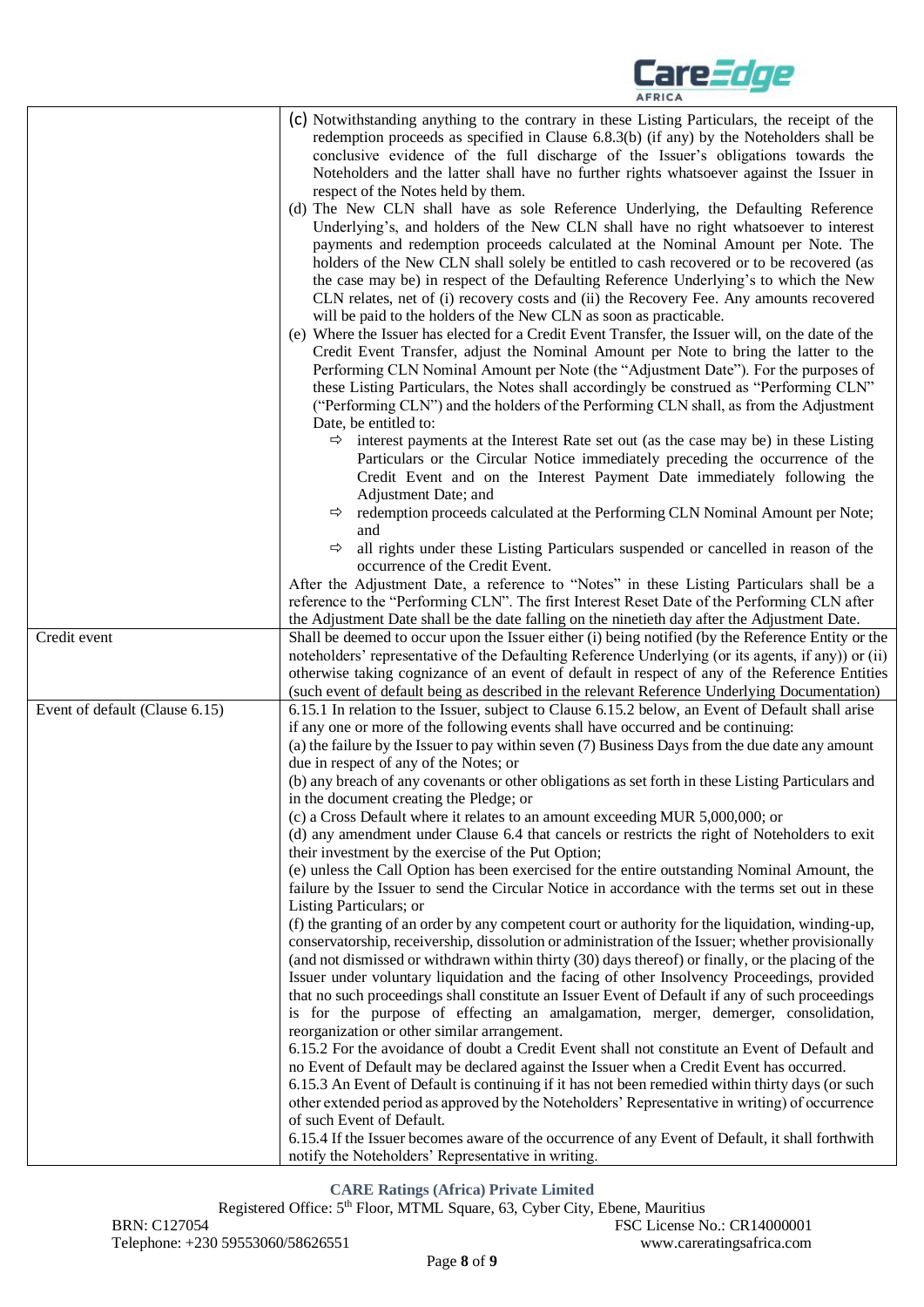

|                                | (c) Notwithstanding anything to the contrary in these Listing Particulars, the receipt of the<br>redemption proceeds as specified in Clause 6.8.3(b) (if any) by the Noteholders shall be<br>conclusive evidence of the full discharge of the Issuer's obligations towards the<br>Noteholders and the latter shall have no further rights whatsoever against the Issuer in<br>respect of the Notes held by them.                                                                                                                                                                                                  |
|--------------------------------|-------------------------------------------------------------------------------------------------------------------------------------------------------------------------------------------------------------------------------------------------------------------------------------------------------------------------------------------------------------------------------------------------------------------------------------------------------------------------------------------------------------------------------------------------------------------------------------------------------------------|
|                                | (d) The New CLN shall have as sole Reference Underlying, the Defaulting Reference<br>Underlying's, and holders of the New CLN shall have no right whatsoever to interest<br>payments and redemption proceeds calculated at the Nominal Amount per Note. The<br>holders of the New CLN shall solely be entitled to cash recovered or to be recovered (as<br>the case may be) in respect of the Defaulting Reference Underlying's to which the New<br>CLN relates, net of (i) recovery costs and (ii) the Recovery Fee. Any amounts recovered<br>will be paid to the holders of the New CLN as soon as practicable. |
|                                | (e) Where the Issuer has elected for a Credit Event Transfer, the Issuer will, on the date of the<br>Credit Event Transfer, adjust the Nominal Amount per Note to bring the latter to the<br>Performing CLN Nominal Amount per Note (the "Adjustment Date"). For the purposes of<br>these Listing Particulars, the Notes shall accordingly be construed as "Performing CLN"                                                                                                                                                                                                                                       |
|                                | ("Performing CLN") and the holders of the Performing CLN shall, as from the Adjustment<br>Date, be entitled to:                                                                                                                                                                                                                                                                                                                                                                                                                                                                                                   |
|                                | $\Rightarrow$ interest payments at the Interest Rate set out (as the case may be) in these Listing<br>Particulars or the Circular Notice immediately preceding the occurrence of the<br>Credit Event and on the Interest Payment Date immediately following the                                                                                                                                                                                                                                                                                                                                                   |
|                                | Adjustment Date; and<br>redemption proceeds calculated at the Performing CLN Nominal Amount per Note;<br>$\Rightarrow$                                                                                                                                                                                                                                                                                                                                                                                                                                                                                            |
|                                | and<br>all rights under these Listing Particulars suspended or cancelled in reason of the<br>$\Rightarrow$<br>occurrence of the Credit Event.                                                                                                                                                                                                                                                                                                                                                                                                                                                                     |
|                                | After the Adjustment Date, a reference to "Notes" in these Listing Particulars shall be a<br>reference to the "Performing CLN". The first Interest Reset Date of the Performing CLN after<br>the Adjustment Date shall be the date falling on the ninetieth day after the Adjustment Date.                                                                                                                                                                                                                                                                                                                        |
| Credit event                   | Shall be deemed to occur upon the Issuer either (i) being notified (by the Reference Entity or the<br>noteholders' representative of the Defaulting Reference Underlying (or its agents, if any)) or (ii)<br>otherwise taking cognizance of an event of default in respect of any of the Reference Entities<br>(such event of default being as described in the relevant Reference Underlying Documentation)                                                                                                                                                                                                      |
| Event of default (Clause 6.15) | 6.15.1 In relation to the Issuer, subject to Clause 6.15.2 below, an Event of Default shall arise<br>if any one or more of the following events shall have occurred and be continuing:                                                                                                                                                                                                                                                                                                                                                                                                                            |
|                                | (a) the failure by the Issuer to pay within seven (7) Business Days from the due date any amount<br>due in respect of any of the Notes; or                                                                                                                                                                                                                                                                                                                                                                                                                                                                        |
|                                | (b) any breach of any covenants or other obligations as set forth in these Listing Particulars and<br>in the document creating the Pledge; or                                                                                                                                                                                                                                                                                                                                                                                                                                                                     |
|                                | (c) a Cross Default where it relates to an amount exceeding MUR 5,000,000; or<br>(d) any amendment under Clause 6.4 that cancels or restricts the right of Noteholders to exit                                                                                                                                                                                                                                                                                                                                                                                                                                    |
|                                | their investment by the exercise of the Put Option;<br>(e) unless the Call Option has been exercised for the entire outstanding Nominal Amount, the<br>failure by the Issuer to send the Circular Notice in accordance with the terms set out in these<br>Listing Particulars; or                                                                                                                                                                                                                                                                                                                                 |
|                                | (f) the granting of an order by any competent court or authority for the liquidation, winding-up,<br>conservatorship, receivership, dissolution or administration of the Issuer; whether provisionally<br>(and not dismissed or withdrawn within thirty (30) days thereof) or finally, or the placing of the                                                                                                                                                                                                                                                                                                      |
|                                | Issuer under voluntary liquidation and the facing of other Insolvency Proceedings, provided<br>that no such proceedings shall constitute an Issuer Event of Default if any of such proceedings<br>is for the purpose of effecting an amalgamation, merger, demerger, consolidation,                                                                                                                                                                                                                                                                                                                               |
|                                | reorganization or other similar arrangement.<br>6.15.2 For the avoidance of doubt a Credit Event shall not constitute an Event of Default and<br>no Event of Default may be declared against the Issuer when a Credit Event has occurred.<br>6.15.3 An Event of Default is continuing if it has not been remedied within thirty days (or such                                                                                                                                                                                                                                                                     |
|                                | other extended period as approved by the Noteholders' Representative in writing) of occurrence<br>of such Event of Default.                                                                                                                                                                                                                                                                                                                                                                                                                                                                                       |
|                                | 6.15.4 If the Issuer becomes aware of the occurrence of any Event of Default, it shall forthwith<br>notify the Noteholders' Representative in writing.                                                                                                                                                                                                                                                                                                                                                                                                                                                            |

#### **CARE Ratings (Africa) Private Limited**

Registered Office: 5<sup>th</sup> Floor, MTML Square, 63, Cyber City, Ebene, Mauritius BRN: C127054 FSC License No.: CR14000001 Telephone: +230 59553060/58626551 www.careratingsafrica.com